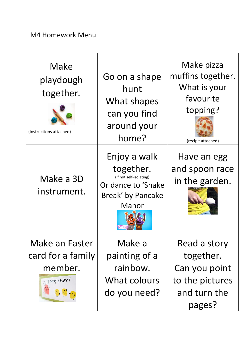## M4 Homework Menu

| Make<br>playdough<br>together.<br>(instructions attached)                | Go on a shape<br>hunt<br>What shapes<br>can you find<br>around your<br>home?                             | Make pizza<br>muffins together.<br>What is your<br>favourite<br>topping?<br>(recipe attached) |
|--------------------------------------------------------------------------|----------------------------------------------------------------------------------------------------------|-----------------------------------------------------------------------------------------------|
| Make a 3D<br>instrument.                                                 | Enjoy a walk<br>together.<br>(If not self-isolating)<br>Or dance to 'Shake<br>Break' by Pancake<br>Manor | Have an egg<br>and spoon race<br>in the garden.                                               |
| <b>Make an Easter</b><br>card for a family<br>member.<br>A hoppy easter! | Make a<br>painting of a<br>rainbow.<br>What colours<br>do you need?                                      | Read a story<br>together.<br>Can you point<br>to the pictures<br>and turn the<br>pages?       |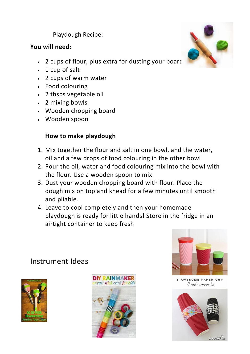Playdough Recipe:

#### **You will need:**

- 2 cups of flour, plus extra for dusting your board
- 1 cup of salt
- 2 cups of warm water
- Food colouring
- 2 tbsps vegetable oil
- 2 mixing bowls
- Wooden chopping board
- Wooden spoon

#### **How to make playdough**

- 1. Mix together the flour and salt in one bowl, and the water, oil and a few drops of food colouring in the other bowl
- 2. Pour the oil, water and food colouring mix into the bowl with the flour. Use a wooden spoon to mix.
- 3. Dust your wooden chopping board with flour. Place the dough mix on top and knead for a few minutes until smooth and pliable.
- 4. Leave to cool completely and then your homemade playdough is ready for little hands! Store in the fridge in an airtight container to keep fresh

## Instrument Ideas







**6 AWESOME PAPER CUP** Instruments